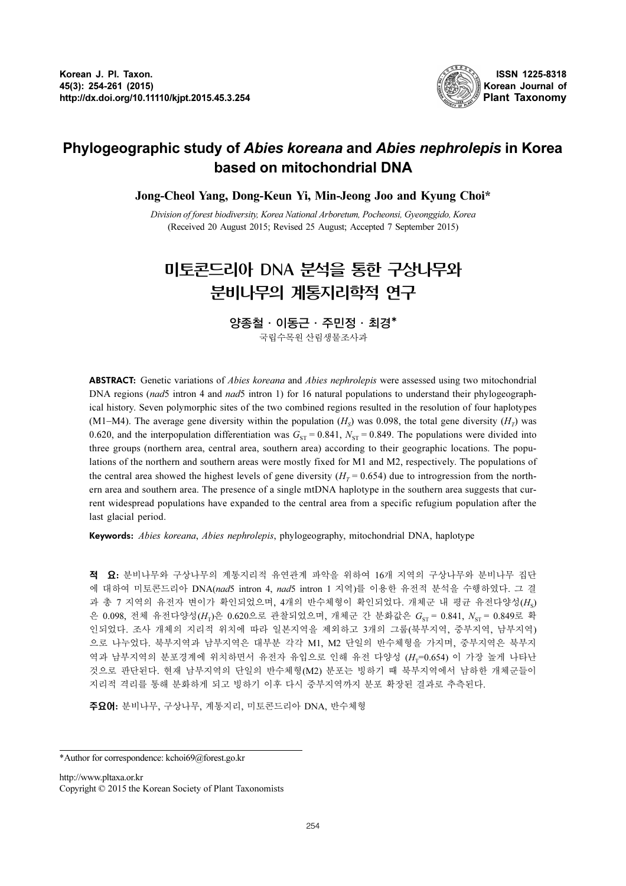

# Phylogeographic study of Abies koreana and Abies nephrolepis in Korea based on mitochondrial DNA

Jong-Cheol Yang, Dong-Keun Yi, Min-Jeong Joo and Kyung Choi\*

Division of forest biodiversity, Korea National Arboretum, Pocheonsi, Gyeonggido, Korea (Received 20 August 2015; Revised 25 August; Accepted 7 September 2015)

# 미토콘드리아 DNA 분석을 통한 구상나무와 분비나무의 계통지리학적 연구

양종철·이동근·주민정·최경\* 국립수목원산림생물조사과

ABSTRACT: Genetic variations of *Abies koreana* and *Abies nephrolepis* were assessed using two mitochondrial DNA regions (nad5 intron 4 and nad5 intron 1) for 16 natural populations to understand their phylogeographical history. Seven polymorphic sites of the two combined regions resulted in the resolution of four haplotypes (M1−M4). The average gene diversity within the population  $(H<sub>s</sub>)$  was 0.098, the total gene diversity  $(H<sub>T</sub>)$  was 0.620, and the interpopulation differentiation was  $G_{ST} = 0.841$ ,  $N_{ST} = 0.849$ . The populations were divided into three groups (northern area, central area, southern area) according to their geographic locations. The populations of the northern and southern areas were mostly fixed for M1 and M2, respectively. The populations of the central area showed the highest levels of gene diversity ( $H_T = 0.654$ ) due to introgression from the northern area and southern area. The presence of a single mtDNA haplotype in the southern area suggests that current widespread populations have expanded to the central area from a specific refugium population after the last glacial period.

Keywords: Abies koreana, Abies nephrolepis, phylogeography, mitochondrial DNA, haplotype

적 요: 분비나무와 구상나무의 계통지리적 유연관계 파악을 위하여 16개 지역의 구상나무와 분비나무 집단 에 대하여 미토콘드리아 DNA(nad5 intron 4, nad5 intron 1 지역)를 이용한 유전적 분석을 수행하였다. 그 결 과 총 7 지역의 유전자 변이가 확인되었으며, 4개의 반수체형이 확인되었다. 개체군 내 평균 유전다양성(H。) 은 0.098, 전체 유전다양성(H<sub>T</sub>)은 0.620으로 관찰되었으며, 개체군 간 분화값은  $G_{ST} = 0.841$ ,  $N_{ST} = 0.849로 확$ 인되었다. 조사 개체의 지리적 위치에 따라 일본지역을 제외하고 3개의 그룹(북부지역, 중부지역, 남부지역) 으로 나누었다. 북부지역과 남부지역은 대부분 각각 M1, M2 단일의 반수체형을 가지며, 중부지역은 북부지 역과 남부지역의 분포경계에 위치하면서 유전자 유입으로 인해 유전 다양성 (H<sub>T</sub>=0.654) 이 가장 높게 나타난 것으로 판단된다. 현재 남부지역의 단일의 반수체형(M2) 분포는 빙하기 때 북부지역에서 남하한 개체군들이 지리적 격리를 통해 분화하게 되고 빙하기 이후 다시 중부지역까지 분포 확장된 결과로 추측된다.

주요어: 분비나무, 구상나무, 계통지리, 미토콘드리아 DNA, 반수체형

http://www.pltaxa.or.kr Copyright © 2015 the Korean Society of Plant Taxonomists

<sup>\*</sup>Author for correspondence: kchoi69@forest.go.kr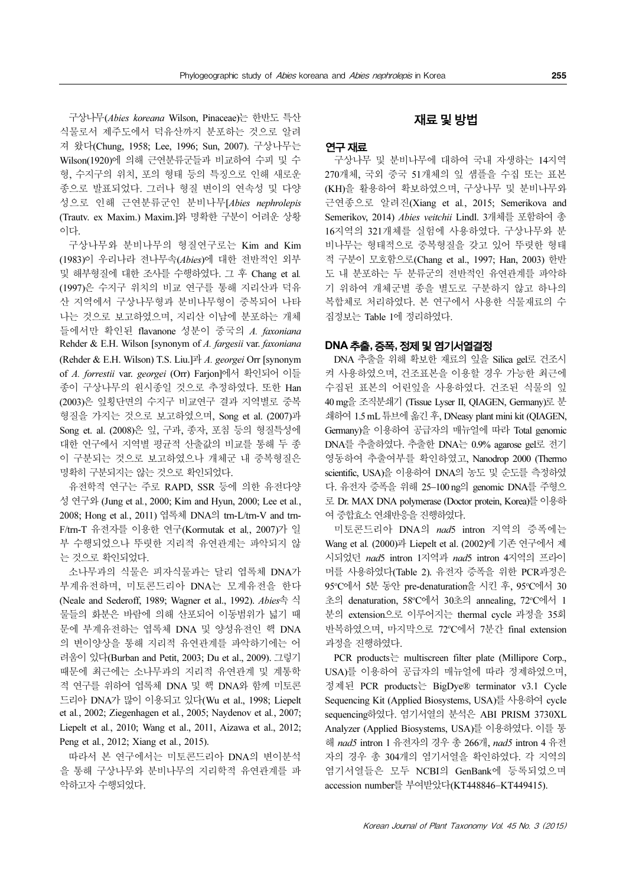구상나무(Abies koreana Wilson, Pinaceae)는 한반도 특산 식물로서 제주도에서 덕유산까지 분포하는 것으로 알려 져 왔다(Chung, 1958; Lee, 1996; Sun, 2007). 구상나무는 Wilson(1920)에 의해 근연분류군들과 비교하여 수피 및 수 형, 수지구의 위치, 포의 형태 등의 특징으로 인해 새로운 종으로 발표되었다. 그러나 형질 변이의 연속성 및 다양 성으로 인해 근연분류군인 분비나무[Abies nephrolepis (Trautv. ex Maxim.) Maxim.]와 명확한 구분이 어려운 상황 이다.

구상나무와 분비나무의 형질연구로는 Kim and Kim (1983)이 우리나라 전나무속(Abies)에 대한 전반적인 외부 및 해부형질에 대한 조사를 수행하였다. 그 후 Chang et al. (1997)은 수지구 위치의 비교 연구를 통해 지리산과 덕유 산 지역에서 구상나무형과 분비나무형이 중복되어 나타 나는 것으로 보고하였으며, 지리산 이남에 분포하는 개체 들에서만 확인된 flavanone 성분이 중국의 A. faxoniana Rehder & E.H. Wilson [synonym of A. fargesii var. faxoniana (Rehder & E.H. Wilson) T.S. Liu.]과 A. georgei Orr [synonym of A. forrestii var. georgei (Orr) Farjon]에서 확인되어 이들 종이 구상나무의 원시종일 것으로 추정하였다. 또한 Han (2003)은 잎횡단면의 수지구 비교연구 결과 지역별로 중복 형질을 가지는 것으로 보고하였으며, Song et al. (2007)과 Song et. al. (2008)은 잎, 구과, 종자, 포침 등의 형질특성에 대한 연구에서 지역별 평균적 산출값의 비교를 통해 두 종 이 구분되는 것으로 보고하였으나 개체군 내 중복형질은 명확히 구분되지는 않는 것으로 확인되었다.

유전학적 연구는 주로 RAPD, SSR 등에 의한 유전다양 성 연구와 (Jung et al., 2000; Kim and Hyun, 2000; Lee et al., 2008; Hong et al., 2011) 엽록체 DNA의 trn-L/trn-V and trn-F/trn-T 유전자를 이용한 연구(Kormutak et al,, 2007)가 일 부 수행되었으나 뚜렷한 지리적 유연관계는 파악되지 않 는 것으로 확인되었다.

소나무과의 식물은 피자식물과는 달리 엽록체 DNA가 부계유전하며, 미토콘드리아 DNA는 모계유전을 한다 (Neale and Sederoff, 1989; Wagner et al., 1992). Abies속 식 물들의 화분은 바람에 의해 산포되어 이동범위가 넓기 때 문에 부계유전하는 엽록체 DNA 및 양성유전인 핵 DNA 의 변이양상을 통해 지리적 유연관계를 파악하기에는 어 려움이 있다(Burban and Petit, 2003; Du et al., 2009). 그렇기 때문에 최근에는 소나무과의 지리적 유연관계 및 계통학 적 연구를 위하여 엽록체 DNA 및 핵 DNA와 함께 미토콘 드리아 DNA가 많이 이용되고 있다(Wu et al., 1998; Liepelt et al., 2002; Ziegenhagen et al., 2005; Naydenov et al., 2007; Liepelt et al., 2010; Wang et al., 2011, Aizawa et al., 2012; Peng et al., 2012; Xiang et al., 2015).

따라서 본 연구에서는 미토콘드리아 DNA의 변이분석 을 통해 구상나무와 분비나무의 지리학적 유연관계를 파 악하고자 수행되었다.

# 재료및방법

# 연구재료

구상나무 및 분비나무에 대하여 국내 자생하는 14지역 270개체, 국외 중국 51개체의 잎 샘플을 수집 또는 표본 (KH)을 활용하여 확보하였으며, 구상나무 및 분비나무와 근연종으로 알려진(Xiang et al., 2015; Semerikova and Semerikov, 2014) Abies veitchii Lindl. 3개체를 포함하여 총 16지역의 321개체를 실험에 사용하였다. 구상나무와 분 비나무는 형태적으로 중복형질을 갖고 있어 뚜렷한 형태 적 구분이 모호함으로(Chang et al., 1997; Han, 2003) 한반 도 내 분포하는 두 분류군의 전반적인 유연관계를 파악하 기 위하여 개체군별 종을 별도로 구분하지 않고 하나의 복합체로 처리하였다. 본 연구에서 사용한 식물재료의 수 집정보는 Table 1에 정리하였다.

# DNA 추출, 증폭, 정제 및 염기서열결정

DNA 추출을 위해 확보한 재료의 잎을 Silica gel로 건조시 켜 사용하였으며, 건조표본을 이용할 경우 가능한 최근에 수집된 표본의 어린잎을 사용하였다. 건조된 식물의 잎 40 mg을 조직분쇄기 (Tissue Lyser II, QIAGEN, Germany)로 분 쇄하여 1.5 mL 튜브에 옮긴 후, DNeasy plant mini kit (OIAGEN, Germany)을 이용하여 공급자의 매뉴얼에 따라 Total genomic DNA를 추출하였다. 추출한 DNA는 0.9% agarose gel로 전기 영동하여 추출여부를 확인하였고, Nanodrop 2000 (Thermo scientific, USA)을 이용하여 DNA의 농도 및 순도를 측정하였 다. 유전자 증폭을 위해 25−100 ng의 genomic DNA를 주형으 로 Dr. MAX DNA polymerase (Doctor protein, Korea)를이용하 여 중합효소 연쇄반응을 진행하였다.

미토콘드리아 DNA의 nad5 intron 지역의 증폭에는 Wang et al. (2000)과 Liepelt et al. (2002)에 기존 연구에서 제 시되었던 nad5 intron 1지역과 nad5 intron 4지역의 프라이 머를 사용하였다(Table 2). 유전자 증폭을 위한 PCR과정은 95°C에서 5분 동안 pre-denaturation을 시킨 후, 95°C에서 30 초의 denaturation, 58°C에서 30초의 annealing, 72°C에서 1 분의 extension으로 이루어지는 thermal cycle 과정을 35회 반복하였으며, 마지막으로 72°C에서 7분간 final extension 과정을 진행하였다.

PCR products는 multiscreen filter plate (Millipore Corp., USA)를 이용하여 공급자의 매뉴얼에 따라 정제하였으며, 정제된 PCR products는 BigDye® terminator v3.1 Cycle Sequencing Kit (Applied Biosystems, USA)를 사용하여 cycle sequencing하였다. 염기서열의 분석은 ABI PRISM 3730XL Analyzer (Applied Biosystems, USA)를 이용하였다. 이를 통 해 nad5 intron 1 유전자의 경우 총 266개, nad5 intron 4 유전 자의 경우 총 304개의 염기서열을 확인하였다. 각 지역의 염기서열들은 모두 NCBI의 GenBank에 등록되었으며 accession number를 부여받았다(KT448846−KT449415).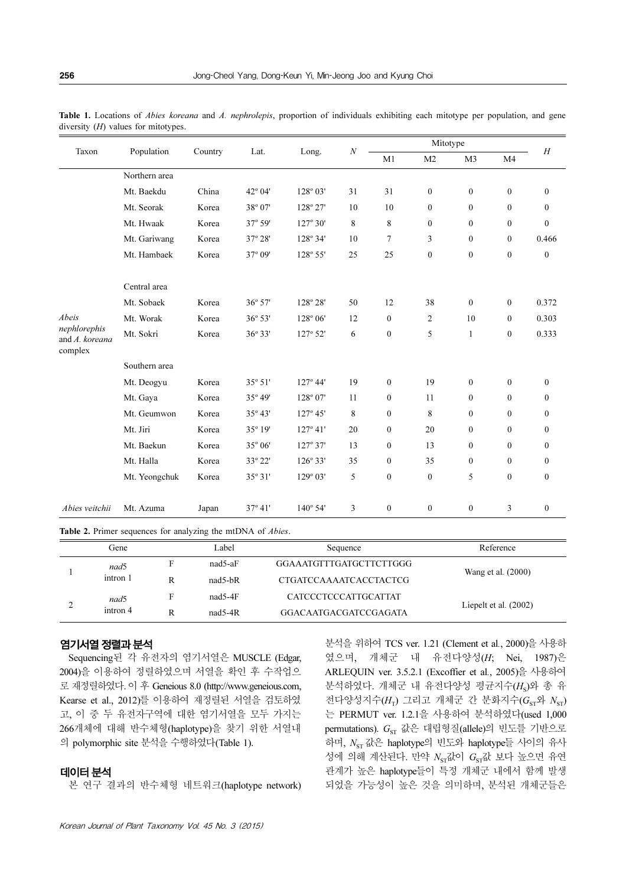| Taxon                                              | Population    | Country | Lat.             | Long.             | $\boldsymbol{N}$ | Mitotype         |                  |                  |                | H                |
|----------------------------------------------------|---------------|---------|------------------|-------------------|------------------|------------------|------------------|------------------|----------------|------------------|
|                                                    |               |         |                  |                   |                  | M1               | M <sub>2</sub>   | M3               | M <sub>4</sub> |                  |
|                                                    | Northern area |         |                  |                   |                  |                  |                  |                  |                |                  |
|                                                    | Mt. Baekdu    | China   | $42^{\circ} 04'$ | $128^{\circ} 03'$ | 31               | 31               | $\mathbf{0}$     | $\theta$         | $\overline{0}$ | $\theta$         |
|                                                    | Mt. Seorak    | Korea   | 38° 07'          | 128° 27'          | 10               | 10               | $\mathbf{0}$     | $\mathbf{0}$     | $\overline{0}$ | $\theta$         |
|                                                    | Mt. Hwaak     | Korea   | $37^{\circ} 59'$ | $127^{\circ} 30'$ | 8                | 8                | $\mathbf{0}$     | $\mathbf{0}$     | $\overline{0}$ | $\mathbf{0}$     |
|                                                    | Mt. Gariwang  | Korea   | 37° 28'          | $128^{\circ} 34'$ | 10               | $\tau$           | 3                | $\mathbf{0}$     | $\overline{0}$ | 0.466            |
|                                                    | Mt. Hambaek   | Korea   | 37° 09'          | 128° 55'          | 25               | 25               | $\boldsymbol{0}$ | $\mathbf{0}$     | $\mathbf{0}$   | $\mathbf{0}$     |
|                                                    | Central area  |         |                  |                   |                  |                  |                  |                  |                |                  |
|                                                    | Mt. Sobaek    | Korea   | $36^{\circ} 57'$ | $128^{\circ} 28'$ | 50               | 12               | 38               | $\mathbf{0}$     | $\mathbf{0}$   | 0.372            |
| Abeis<br>nephlorephis<br>and A. koreana<br>complex | Mt. Worak     | Korea   | $36^{\circ} 53'$ | 128° 06'          | 12               | $\boldsymbol{0}$ | $\overline{c}$   | 10               | $\overline{0}$ | 0.303            |
|                                                    | Mt. Sokri     | Korea   | 36° 33'          | 127° 52'          | 6                | $\mathbf{0}$     | 5                | 1                | $\overline{0}$ | 0.333            |
|                                                    | Southern area |         |                  |                   |                  |                  |                  |                  |                |                  |
|                                                    | Mt. Deogyu    | Korea   | 35° 51'          | $127^{\circ}$ 44' | 19               | $\mathbf{0}$     | 19               | $\mathbf{0}$     | $\mathbf{0}$   | $\theta$         |
|                                                    | Mt. Gaya      | Korea   | 35° 49'          | $128^{\circ} 07'$ | 11               | $\mathbf{0}$     | 11               | $\mathbf{0}$     | $\mathbf{0}$   | $\mathbf{0}$     |
|                                                    | Mt. Geumwon   | Korea   | 35° 43'          | $127^{\circ} 45'$ | 8                | $\mathbf{0}$     | 8                | $\mathbf{0}$     | $\overline{0}$ | $\mathbf{0}$     |
|                                                    | Mt. Jiri      | Korea   | 35° 19'          | $127^{\circ}$ 41' | 20               | $\boldsymbol{0}$ | 20               | $\boldsymbol{0}$ | $\mathbf{0}$   | $\mathbf{0}$     |
|                                                    | Mt. Baekun    | Korea   | 35° 06'          | $127^{\circ}37'$  | 13               | $\mathbf{0}$     | 13               | $\mathbf{0}$     | $\overline{0}$ | $\mathbf{0}$     |
|                                                    | Mt. Halla     | Korea   | 33° 22'          | $126^{\circ} 33'$ | 35               | $\boldsymbol{0}$ | 35               | $\boldsymbol{0}$ | $\mathbf{0}$   | $\boldsymbol{0}$ |
|                                                    | Mt. Yeongchuk | Korea   | $35^{\circ}31'$  | $129^{\circ} 03'$ | 5                | $\mathbf{0}$     | $\boldsymbol{0}$ | 5                | $\mathbf{0}$   | $\mathbf{0}$     |
| Abies veitchii                                     | Mt. Azuma     | Japan   | 37° 41'          | $140^{\circ}$ 54' | 3                | $\mathbf{0}$     | $\boldsymbol{0}$ | $\boldsymbol{0}$ | 3              | $\boldsymbol{0}$ |

Table 1. Locations of *Abies koreana* and A. nephrolepis, proportion of individuals exhibiting each mitotype per population, and gene diversity  $(H)$  values for mitotypes.

Table 2. Primer sequences for analyzing the mtDNA of *Abies*.

|  | Gene     |   | Label     | Sequence                    | Reference               |
|--|----------|---|-----------|-----------------------------|-------------------------|
|  | nad5     |   | $nad5-aF$ | GGAAATGTTTGATGCTTCTTGGG     | Wang et al. (2000)      |
|  | intron 1 | R | $nad5-bR$ | CTGATCCAAAATCACCTACTCG      |                         |
|  | nad5     |   | $nad5-4F$ | <b>CATCCCTCCCATTGCATTAT</b> |                         |
|  | intron 4 | R | $nad5-4R$ | GGACAATGACGATCCGAGATA       | Liepelt et al. $(2002)$ |

#### 염기서열 정렬과 분석

Sequencing된 각 유전자의 염기서열은 MUSCLE (Edgar, 2004)을 이용하여 정렬하였으며 서열을 확인 후 수작업으 로 재정렬하였다. 이 후 Geneious 8.0 (http://www.geneious.com, Kearse et al., 2012)를 이용하여 재정렬된 서열을 검토하였 고, 이 중 두 유전자구역에 대한 염기서열을 모두 가지는 266개체에 대해 반수체형(haplotype)을 찾기 위한 서열내 의 polymorphic site 분석을 수행하였다(Table 1).

#### 데이터분석

본 연구 결과의 반수체형 네트워크(haplotype network)

분석을 위하여 TCS ver. 1.21 (Clement et al., 2000)을 사용하 였으며, 개체군 내 유전다양성(H; Nei, 1987)은 ARLEQUIN ver. 3.5.2.1 (Excoffier et al., 2005)을 사용하여 분석하였다. 개체군 내 유전다양성 평균지수(Hs)와 총 유 전다양성지수 $(H_T)$  그리고 개체군 간 분화지수 $(G_{\text{ST}})$ 와  $N_{\text{ST}}$ ) 는 PERMUT ver. 1.2.1을 사용하여 분석하였다(used 1,000 permutations).  $G_{ST}$  값은 대립형질(allele)의 빈도를 기반으로 하며,  $N_{\rm sr}$  값은 haplotype의 빈도와 haplotype들 사이의 유사 성에 의해 계산된다. 만약  $N_{\rm sr}$ 값이  $G_{\rm sr}$ 값 보다 높으면 유연 관계가 높은 haplotype들이 특정 개체군 내에서 함께 발생 되었을 가능성이 높은 것을 의미하며, 분석된 개체군들은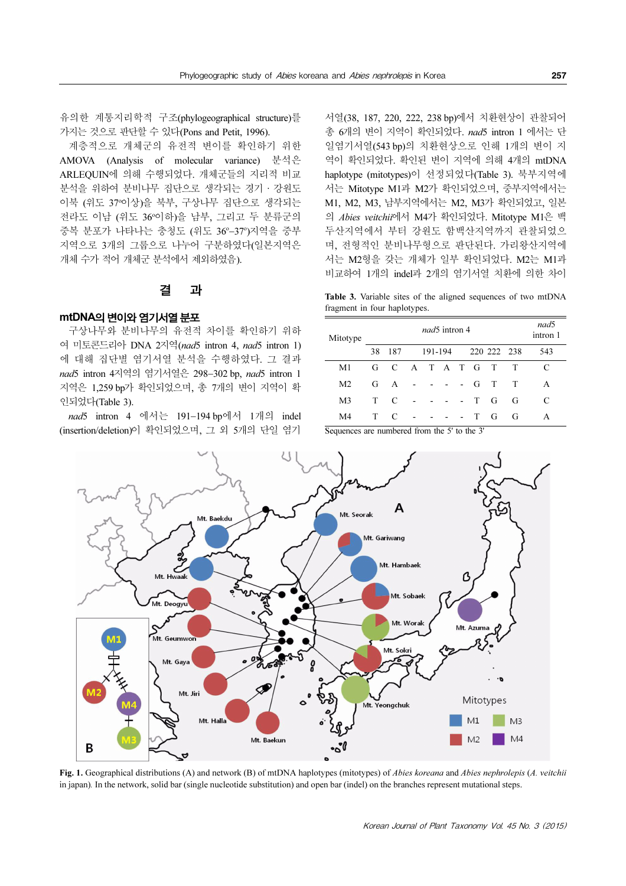유의한 계통지리학적 구조(phylogeographical structure)를 가지는 것으로 판단할 수 있다(Pons and Petit, 1996).

계층적으로 개체군의 유전적 변이를 확인하기 위한 AMOVA (Analysis of molecular variance) 분석은 ARLEQUIN에 의해 수행되었다. 개체군들의 지리적 비교 분석을 위하여 분비나무 집단으로 생각되는 경기·강원도 이북 (위도 37<sup>o</sup> 이상)을 북부, 구상나무 집단으로 생각되는 전라도 이남 (위도 36°이하)을 남부, 그리고 두 분류군의 중복 분포가 나타나는 충청도 (위도 36°-37°)지역을 중부 지역으로 3개의 그룹으로 나누어 구분하였다(일본지역은 개체 수가 적어 개체군 분석에서 제외하였음).

# 결 과

# mtDNA의 변이와 염기서열 분포

구상나무와 분비나무의 유전적 차이를 확인하기 위하 여 미토콘드리아 DNA 2지역(nad5 intron 4, nad5 intron 1) 에 대해 집단별 염기서열 분석을 수행하였다. 그 결과 nad5 intron 4지역의 염기서열은 298-302 bp, nad5 intron 1 지역은 1,259 bp가 확인되었으며, 총 7개의 변이 지역이 확 인되었다(Table 3).

nad5 intron 4 에서는 191-194 bp에서 1개의 indel (insertion/deletion)이 확인되었으며, 그 외 5개의 단일 염기

서열(38, 187, 220, 222, 238 bp)에서 치환현상이 관찰되어 총 6개의 변이 지역이 확인되었다. nad5 intron 1 에서는 단 일염기서열(543 bp)의 치환현상으로 인해 1개의 변이 지 역이 확인되었다. 확인된 변이 지역에 의해 4개의 mtDNA haplotype (mitotypes)이 선정되었다(Table 3). 북부지역에 서는 Mitotype M1과 M2가 확인되었으며, 중부지역에서는 M1, M2, M3, 남부지역에서는 M2, M3가 확인되었고, 일본 의 Abies veitchii에서 M4가 확인되었다. Mitotype M1은 백 두산지역에서 부터 강원도 함백산지역까지 관찰되었으 며, 전형적인 분비나무형으로 판단된다. 가리왕산지역에 서는 M2형을 갖는 개체가 일부 확인되었다. M2는 M1과 비교하여 1개의 indel과 2개의 염기서열 치환에 의한 차이

Table 3. Variable sites of the aligned sequences of two mtDNA fragment in four haplotypes.

| Mitotype       | nad5 intron 4 |                 |         |  |  |             |        |   |   | nad5<br>intron 1 |
|----------------|---------------|-----------------|---------|--|--|-------------|--------|---|---|------------------|
|                | 38            | 187             | 191-194 |  |  | 220 222 238 |        |   |   | 543              |
| M1             |               | G C A T A T G T |         |  |  |             |        |   | T |                  |
| M <sub>2</sub> |               | G A             |         |  |  |             | $-G$ T |   | T | A                |
| M <sub>3</sub> | T.            | C               |         |  |  |             | - T G  |   | G | C                |
| M4             | T.            | C               |         |  |  |             | T      | G | G | A                |

Sequences are numbered from the 5' to the 3'



Fig. 1. Geographical distributions (A) and network (B) of mtDNA haplotypes (mitotypes) of *Abies koreana* and *Abies nephrolepis (A. veitchii*) in japan). In the network, solid bar (single nucleotide substitution) and open bar (indel) on the branches represent mutational steps.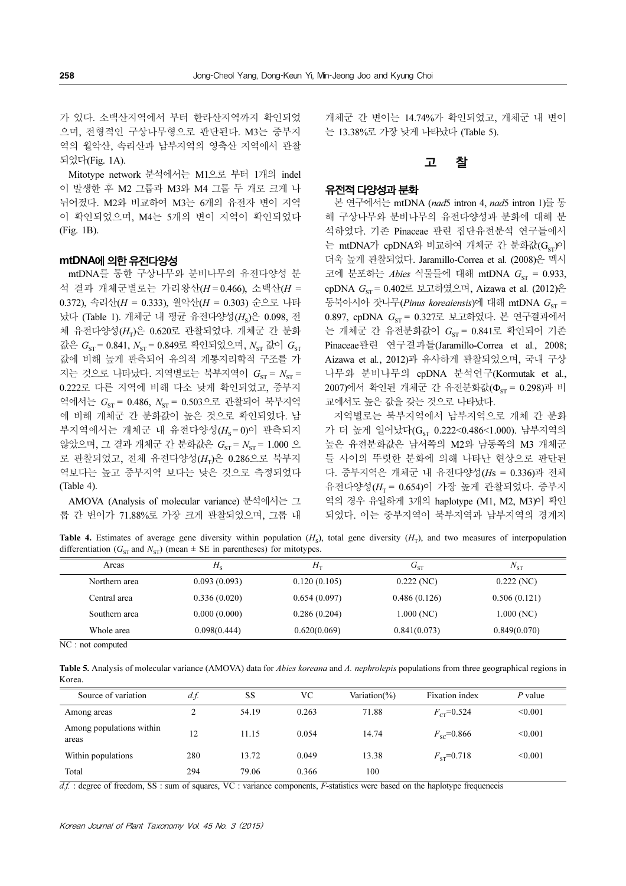가 있다. 소백산지역에서 부터 한라산지역까지 확인되었 으며, 전형적인 구상나무형으로 판단된다. M3는 중부지 역의 월악산, 속리산과 남부지역의 영축산 지역에서 관찰 되었다(Fig. 1A).

Mitotype network 분석에서는 M1으로 부터 1개의 indel 이 발생한 후 M2 그룹과 M3와 M4 그룹 두 개로 크게 나 뉘어졌다. M2와 비교하여 M3는 6개의 유전자 변이 지역 이 확인되었으며, M4는 5개의 변이 지역이 확인되었다 (Fig. 1B).

# mtDNA에 의한 유전다양성

mtDNA를 통한 구상나무와 분비나무의 유전다양성 분 석 결과 개체군별로는 가리왕산( $H = 0.466$ ), 소백산( $H =$ 0.372), 속리산(H = 0.333), 월악산(H = 0.303) 순으로 나타 났다 (Table 1). 개체군 내 평균 유전다양성( $H_{s}$ )은 0.098, 전 체 유전다양성 $(H_{\tau})$ 은 0.620로 관찰되었다. 개체군 간 분화 값은  $G_{ST}$  = 0.841,  $N_{ST}$  = 0.849로 확인되었으며,  $N_{ST}$  값이  $G_{ST}$ 값에 비해 높게 관측되어 유의적 계통지리학적 구조를 가 지는 것으로 나타났다. 지역별로는 북부지역이  $G_{ST} = N_{ST} =$ 0.222로 다른 지역에 비해 다소 낮게 확인되었고, 중부지 역에서는  $G_{ST} = 0.486$ ,  $N_{ST} = 0.503$ 으로 관찰되어 북부지역 에 비해 개체군 간 분화값이 높은 것으로 확인되었다. 남 부지역에서는 개체군 내 유전다양성( $H_s = 0$ )이 관측되지 않았으며, 그 결과 개체군 간 분화값은  $G_{ST} = N_{ST} = 1.000$  으 로 관찰되었고, 전체 유전다양성( $H_{\text{T}}$ )은 0.286으로 북부지 역보다는 높고 중부지역 보다는 낮은 것으로 측정되었다 (Table 4).

AMOVA (Analysis of molecular variance) 분석에서는 그 룹 간 변이가 71.88%로 가장 크게 관찰되었으며, 그룹 내

개체군 간 변이는 14.74%가 확인되었고, 개체군 내 변이 는 13.38%로 가장 낮게 나타났다 (Table 5).

# 고 찰

# 유전적 다양성과 분화

본 연구에서는 mtDNA (nad5 intron 4, nad5 intron 1)를 통 해 구상나무와 분비나무의 유전다양성과 분화에 대해 분 석하였다. 기존 Pinaceae 관련 집단유전분석 연구들에서 는 mtDNA가 cpDNA와 비교하여 개체군 간 분화값(G<sub>ST</sub>)이 더욱 높게 관찰되었다. Jaramillo-Correa et al. (2008)은 멕시 코에 분포하는 Abies 식물들에 대해 mtDNA  $G_{\text{cr}} = 0.933$ ,  $c$ pDNA  $G_{ST}$  = 0.402로 보고하였으며, Aizawa et al. (2012)은 동북아시아 잣나무(Pinus koreaiensis)에 대해 mtDNA G<sub>ST</sub> = 0.897, cpDNA  $G_{ST} = 0.327$ 로 보고하였다. 본 연구결과에서 는 개체군 간 유전분화값이  $G_{ST} = 0.841$ 로 확인되어 기존 Pinaceae관련 연구결과들(Jaramillo-Correa et al., 2008; Aizawa et al., 2012)과 유사하게 관찰되었으며, 국내 구상 나무와 분비나무의 cpDNA 분석연구(Kormutak et al.,  $2007$ )에서 확인된 개체군 간 유전분화값( $\Phi_{\text{cr}} = 0.298$ )과 비 교에서도 높은 값을 갖는 것으로 나타났다.

지역별로는 북부지역에서 남부지역으로 개체 간 분화 가 더 높게 일어났다(Gcr 0.222<0.486<1.000). 남부지역의 높은 유전분화값은 남서쪽의 M2와 남동쪽의 M3 개체군 들 사이의 뚜렷한 분화에 의해 나타난 현상으로 판단된 다. 중부지역은 개체군 내 유전다양성( $H_S = 0.336$ )과 전체 유전다양성( $H_r = 0.654$ )이 가장 높게 관찰되었다. 중부지 역의 경우 유일하게 3개의 haplotype (M1, M2, M3)이 확인 되었다. 이는 중부지역이 북부지역과 남부지역의 경계지

**Table 4.** Estimates of average gene diversity within population  $(H<sub>c</sub>)$ , total gene diversity  $(H<sub>c</sub>)$ , and two measures of interpopulation differentiation ( $G_{ST}$  and  $N_{ST}$ ) (mean  $\pm$  SE in parentheses) for mitotypes.

| Areas         | $H_{\rm s}$  | $H_{\tau}$   | $G_{ST}$     | $N_{\rm ST}$ |
|---------------|--------------|--------------|--------------|--------------|
| Northern area | 0.093(0.093) | 0.120(0.105) | 0.222(NC)    | 0.222(NC)    |
| Central area  | 0.336(0.020) | 0.654(0.097) | 0.486(0.126) | 0.506(0.121) |
| Southern area | 0.000(0.000) | 0.286(0.204) | 1.000(NC)    | 1.000(NC)    |
| Whole area    | 0.098(0.444) | 0.620(0.069) | 0.841(0.073) | 0.849(0.070) |

NC : not computed

Table 5. Analysis of molecular variance (AMOVA) data for *Abies koreana* and A. nephrolepis populations from three geographical regions in Korea.

| Source of variation               | $df$ . | SS    | VС    | Variation $(\%)$ | Fixation index      | $P$ value |
|-----------------------------------|--------|-------|-------|------------------|---------------------|-----------|
| Among areas                       |        | 54.19 | 0.263 | 71.88            | $F_{cr}$ =0.524     | < 0.001   |
| Among populations within<br>areas | 12     | 11.15 | 0.054 | 14.74            | $F_{sc} = 0.866$    | < 0.001   |
| Within populations                | 280    | 13.72 | 0.049 | 13.38            | $F_{\rm sr}$ =0.718 | < 0.001   |
| Total                             | 294    | 79.06 | 0.366 | 100              |                     |           |

 $df$ . : degree of freedom, SS : sum of squares, VC : variance components, F-statistics were based on the haplotype frequenceis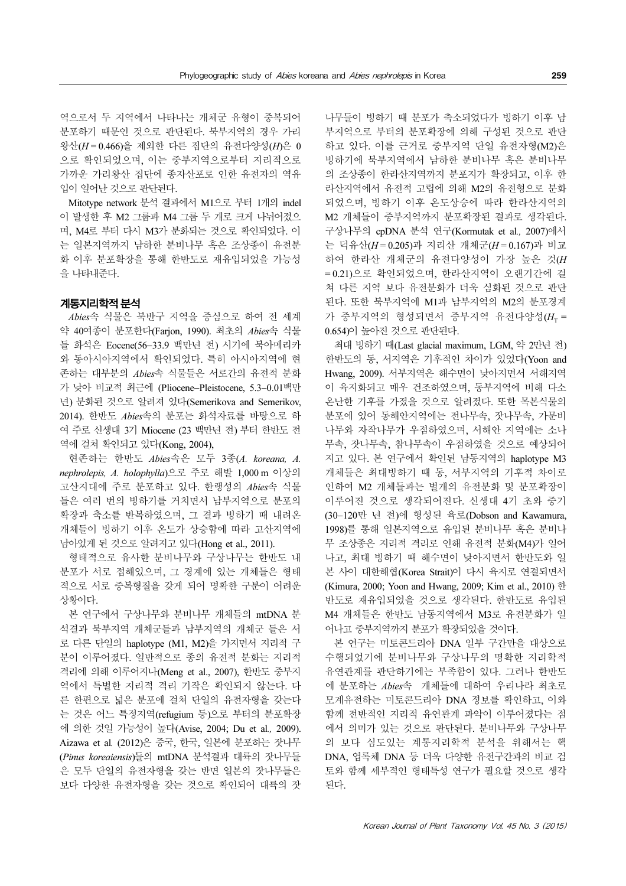역으로서 두 지역에서 나타나는 개체군 유형이 중복되어 분포하기 때문인 것으로 판단된다. 북부지역의 경우 가리 왕산(H = 0.466)을 제외한 다른 집단의 유전다양성(H)은 0 으로 확인되었으며, 이는 중부지역으로부터 지리적으로 가까운 가리왕산 집단에 종자산포로 인한 유전자의 역유 입이 일어난 것으로 판단된다.

Mitotype network 분석 결과에서 M1으로 부터 1개의 indel 이 발생한 후 M2 그룹과 M4 그룹 두 개로 크게 나뉘어졌으 며, M4로 부터 다시 M3가 분화되는 것으로 확인되었다. 이 는 일본지역까지 남하한 분비나무 혹은 조상종이 유전분 화 이후 분포확장을 통해 한반도로 재유입되었을 가능성 을 나타내준다.

# 계통지리학적 분석

Abies속 식물은 북반구 지역을 중심으로 하여 전 세계 약 40여종이 분포한다(Farjon, 1990). 최초의 Abies속 식물 들 화석은 Eocene(56−33.9 백만년 전) 시기에 북아메리카 와 동아시아지역에서 확인되었다. 특히 아시아지역에 현 존하는 대부분의 Abies속 식물들은 서로간의 유전적 분화 가 낮아 비교적 최근에 (Pliocene−Pleistocene, 5.3−0.01백만 년) 분화된 것으로 알려져 있다(Semerikova and Semerikov, 2014). 한반도 Abies속의 분포는 화석자료를 바탕으로 하 여 주로 신생대 3기 Miocene (23 백만년 전) 부터 한반도 전 역에 걸쳐 확인되고 있다(Kong, 2004),

현존하는 한반도 Abies속은 모두 3종(A. koreana, A. nephrolepis, A. holophylla)으로 주로 해발 1,000 m 이상의 고산지대에 주로 분포하고 있다. 한랭성의 Abies속 식물 들은 여러 번의 빙하기를 거치면서 남부지역으로 분포의 확장과 축소를 반복하였으며, 그 결과 빙하기 때 내려온 개체들이 빙하기 이후 온도가 상승함에 따라 고산지역에 남아있게 된 것으로 알려지고 있다(Hong et al., 2011).

형태적으로 유사한 분비나무와 구상나무는 한반도 내 분포가 서로 접해있으며, 그 경계에 있는 개체들은 형태 적으로 서로 중복형질을 갖게 되어 명확한 구분이 어려운 상황이다.

본 연구에서 구상나무와 분비나무 개체들의 mtDNA 분 석결과 북부지역 개체군들과 남부지역의 개체군 들은 서 로 다른 단일의 haplotype (M1, M2)을 가지면서 지리적 구 분이 이루어졌다. 일반적으로 종의 유전적 분화는 지리적 격리에 의해 이루어지나(Meng et al., 2007), 한반도 중부지 역에서 특별한 지리적 격리 기작은 확인되지 않는다. 다 른 한편으로 넓은 분포에 걸쳐 단일의 유전자형을 갖는다 는 것은 어느 특정지역(refugium 등)으로 부터의 분포확장 에 의한 것일 가능성이 높다(Avise, 2004; Du et al., 2009). Aizawa et al. (2012)은 중국, 한국, 일본에 분포하는 잣나무 (Pinus koreaiensis)들의 mtDNA 분석결과 대륙의 잣나무들 은 모두 단일의 유전자형을 갖는 반면 일본의 잣나무들은 보다 다양한 유전자형을 갖는 것으로 확인되어 대륙의 잣 나무들이 빙하기 때 분포가 축소되었다가 빙하기 이후 남 부지역으로 부터의 분포확장에 의해 구성된 것으로 판단 하고 있다. 이를 근거로 중부지역 단일 유전자형(M2)은 빙하기에 북부지역에서 남하한 분비나무 혹은 분비나무 의 조상종이 한라산지역까지 분포지가 확장되고, 이후 한 라산지역에서 유전적 고립에 의해 M2의 유전형으로 분화 되었으며, 빙하기 이후 온도상승에 따라 한라산지역의 M2 개체들이 중부지역까지 분포확장된 결과로 생각된다. 구상나무의 cpDNA 분석 연구(Kormutak et al., 2007)에서 는 덕유산(H = 0.205)과 지리산 개체군(H = 0.167)과 비교 하여 한라산 개체군의 유전다양성이 가장 높은 것(H = 0.21)으로 확인되었으며, 한라산지역이 오랜기간에 걸 쳐 다른 지역 보다 유전분화가 더욱 심화된 것으로 판단 된다. 또한 북부지역에 M1과 남부지역의 M2의 분포경계 가 중부지역의 형성되면서 중부지역 유전다양성( $H_{\text{T}} =$ 0.654)이 높아진 것으로 판단된다.

최대 빙하기 때(Last glacial maximum, LGM, 약 2만년 전) 한반도의 동, 서지역은 기후적인 차이가 있었다(Yoon and Hwang, 2009). 서부지역은 해수면이 낮아지면서 서해지역 이 육지화되고 매우 건조하였으며, 동부지역에 비해 다소 온난한 기후를 가졌을 것으로 알려졌다. 또한 목본식물의 분포에 있어 동해안지역에는 전나무속, 잣나무속, 가문비 나무와 자작나무가 우점하였으며, 서해안 지역에는 소나 무속, 잣나무속, 참나무속이 우점하였을 것으로 예상되어 지고 있다. 본 연구에서 확인된 남동지역의 haplotype M3 개체들은 최대빙하기 때 동, 서부지역의 기후적 차이로 인하여 M2 개체들과는 별개의 유전분화 및 분포확장이 이루어진 것으로 생각되어진다. 신생대 4기 초와 중기 (30−120만 년 전)에 형성된 육로(Dobson and Kawamura, 1998)를 통해 일본지역으로 유입된 분비나무 혹은 분비나 무 조상종은 지리적 격리로 인해 유전적 분화(M4)가 일어 나고, 최대 빙하기 때 해수면이 낮아지면서 한반도와 일 본 사이 대한해협(Korea Strait)이 다시 육지로 연결되면서 (Kimura, 2000; Yoon and Hwang, 2009; Kim et al., 2010) 한 반도로 재유입되었을 것으로 생각된다. 한반도로 유입된 M4 개체들은 한반도 남동지역에서 M3로 유전분화가 일 어나고 중부지역까지 분포가 확장되었을 것이다.

본 연구는 미토콘드리아 DNA 일부 구간만을 대상으로 수행되었기에 분비나무와 구상나무의 명확한 지리학적 유연관계를 판단하기에는 부족함이 있다. 그러나 한반도 에 분포하는 Abies속 개체들에 대하여 우리나라 최초로 모계유전하는 미토콘드리아 DNA 정보를 확인하고, 이와 함께 전반적인 지리적 유연관계 파악이 이루어졌다는 점 에서 의미가 있는 것으로 판단된다. 분비나무와 구상나무 의 보다 심도있는 계통지리학적 분석을 위해서는 핵 DNA, 엽록체 DNA 등 더욱 다양한 유전구간과의 비교 검 토와 함께 세부적인 형태특성 연구가 필요할 것으로 생각 된다.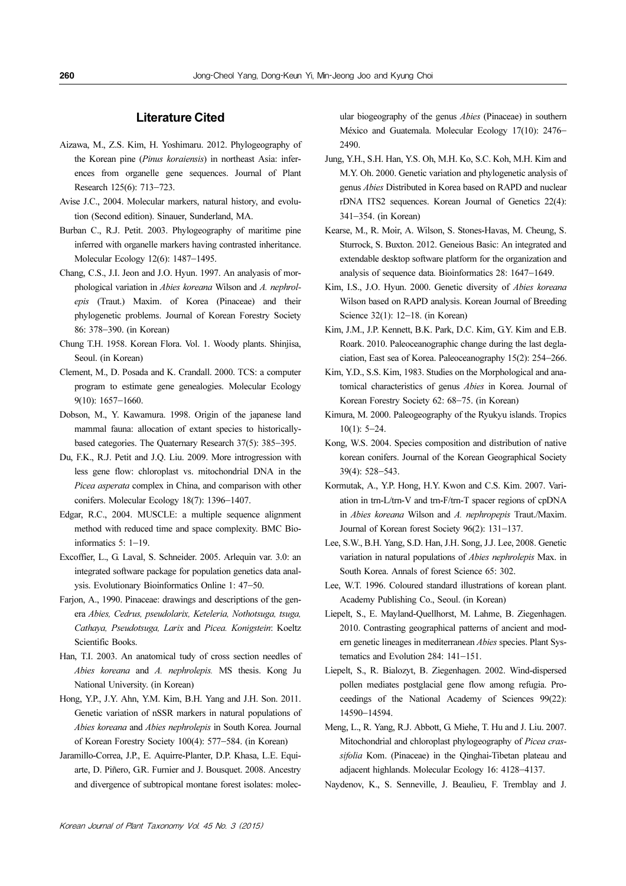# Literature Cited

- Aizawa, M., Z.S. Kim, H. Yoshimaru. 2012. Phylogeography of the Korean pine (Pinus koraiensis) in northeast Asia: inferences from organelle gene sequences. Journal of Plant Research 125(6): 713−723.
- Avise J.C., 2004. Molecular markers, natural history, and evolution (Second edition). Sinauer, Sunderland, MA.
- Burban C., R.J. Petit. 2003. Phylogeography of maritime pine inferred with organelle markers having contrasted inheritance. Molecular Ecology 12(6): 1487−1495.
- Chang, C.S., J.I. Jeon and J.O. Hyun. 1997. An analyasis of morphological variation in Abies koreana Wilson and A. nephrolepis (Traut.) Maxim. of Korea (Pinaceae) and their phylogenetic problems. Journal of Korean Forestry Society 86: 378−390. (in Korean)
- Chung T.H. 1958. Korean Flora. Vol. 1. Woody plants. Shinjisa, Seoul. (in Korean)
- Clement, M., D. Posada and K. Crandall. 2000. TCS: a computer program to estimate gene genealogies. Molecular Ecology 9(10): 1657−1660.
- Dobson, M., Y. Kawamura. 1998. Origin of the japanese land mammal fauna: allocation of extant species to historicallybased categories. The Quaternary Research 37(5): 385−395.
- Du, F.K., R.J. Petit and J.Q. Liu. 2009. More introgression with less gene flow: chloroplast vs. mitochondrial DNA in the Picea asperata complex in China, and comparison with other conifers. Molecular Ecology 18(7): 1396−1407.
- Edgar, R.C., 2004. MUSCLE: a multiple sequence alignment method with reduced time and space complexity. BMC Bioinformatics 5: 1−19.
- Excoffier, L., G. Laval, S. Schneider. 2005. Arlequin var. 3.0: an integrated software package for population genetics data analysis. Evolutionary Bioinformatics Online 1: 47−50.
- Farjon, A., 1990. Pinaceae: drawings and descriptions of the genera Abies, Cedrus, pseudolarix, Keteleria, Nothotsuga, tsuga, Cathaya, Pseudotsuga, Larix and Picea. Konigstein: Koeltz Scientific Books.
- Han, T.I. 2003. An anatomical tudy of cross section needles of Abies koreana and A. nephrolepis. MS thesis. Kong Ju National University. (in Korean)
- Hong, Y.P., J.Y. Ahn, Y.M. Kim, B.H. Yang and J.H. Son. 2011. Genetic variation of nSSR markers in natural populations of Abies koreana and Abies nephrolepis in South Korea. Journal of Korean Forestry Society 100(4): 577−584. (in Korean)
- Jaramillo-Correa, J.P., E. Aquirre-Planter, D.P. Khasa, L.E. Equiarte, D. Piñero, G.R. Furnier and J. Bousquet. 2008. Ancestry and divergence of subtropical montane forest isolates: molec-

ular biogeography of the genus Abies (Pinaceae) in southern México and Guatemala. Molecular Ecology 17(10): 2476− 2490.

- Jung, Y.H., S.H. Han, Y.S. Oh, M.H. Ko, S.C. Koh, M.H. Kim and M.Y. Oh. 2000. Genetic variation and phylogenetic analysis of genus Abies Distributed in Korea based on RAPD and nuclear rDNA ITS2 sequences. Korean Journal of Genetics 22(4): 341−354. (in Korean)
- Kearse, M., R. Moir, A. Wilson, S. Stones-Havas, M. Cheung, S. Sturrock, S. Buxton. 2012. Geneious Basic: An integrated and extendable desktop software platform for the organization and analysis of sequence data. Bioinformatics 28: 1647−1649.
- Kim, I.S., J.O. Hyun. 2000. Genetic diversity of Abies koreana Wilson based on RAPD analysis. Korean Journal of Breeding Science 32(1): 12−18. (in Korean)
- Kim, J.M., J.P. Kennett, B.K. Park, D.C. Kim, G.Y. Kim and E.B. Roark. 2010. Paleoceanographic change during the last deglaciation, East sea of Korea. Paleoceanography 15(2): 254−266.
- Kim, Y.D., S.S. Kim, 1983. Studies on the Morphological and anatomical characteristics of genus Abies in Korea. Journal of Korean Forestry Society 62: 68−75. (in Korean)
- Kimura, M. 2000. Paleogeography of the Ryukyu islands. Tropics 10(1): 5−24.
- Kong, W.S. 2004. Species composition and distribution of native korean conifers. Journal of the Korean Geographical Society 39(4): 528−543.
- Kormutak, A., Y.P. Hong, H.Y. Kwon and C.S. Kim. 2007. Variation in trn-L/trn-V and trn-F/trn-T spacer regions of cpDNA in Abies koreana Wilson and A. nephropepis Traut./Maxim. Journal of Korean forest Society 96(2): 131−137.
- Lee, S.W., B.H. Yang, S.D. Han, J.H. Song, J.J. Lee, 2008. Genetic variation in natural populations of Abies nephrolepis Max. in South Korea. Annals of forest Science 65: 302.
- Lee, W.T. 1996. Coloured standard illustrations of korean plant. Academy Publishing Co., Seoul. (in Korean)
- Liepelt, S., E. Mayland-Quellhorst, M. Lahme, B. Ziegenhagen. 2010. Contrasting geographical patterns of ancient and modern genetic lineages in mediterranean Abies species. Plant Systematics and Evolution 284: 141−151.
- Liepelt, S., R. Bialozyt, B. Ziegenhagen. 2002. Wind-dispersed pollen mediates postglacial gene flow among refugia. Proceedings of the National Academy of Sciences 99(22): 14590−14594.
- Meng, L., R. Yang, R.J. Abbott, G. Miehe, T. Hu and J. Liu. 2007. Mitochondrial and chloroplast phylogeography of Picea crassifolia Kom. (Pinaceae) in the Oinghai-Tibetan plateau and adjacent highlands. Molecular Ecology 16: 4128−4137.
- Naydenov, K., S. Senneville, J. Beaulieu, F. Tremblay and J.